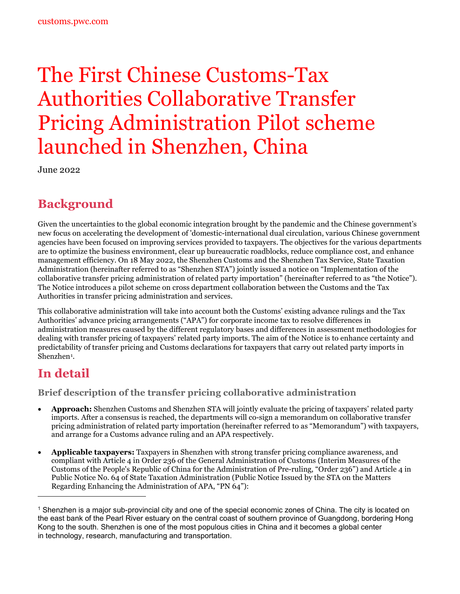# The First Chinese Customs-Tax Authorities Collaborative Transfer Pricing Administration Pilot scheme launched in Shenzhen, China

June 2022

## **Background**

Given the uncertainties to the global economic integration brought by the pandemic and the Chinese government's new focus on accelerating the development of 'domestic-international dual circulation, various Chinese government agencies have been focused on improving services provided to taxpayers. The objectives for the various departments are to optimize the business environment, clear up bureaucratic roadblocks, reduce compliance cost, and enhance management efficiency. On 18 May 2022, the Shenzhen Customs and the Shenzhen Tax Service, State Taxation Administration (hereinafter referred to as "Shenzhen STA") jointly issued a notice on "Implementation of the collaborative transfer pricing administration of related party importation" (hereinafter referred to as "the Notice"). The Notice introduces a pilot scheme on cross department collaboration between the Customs and the Tax Authorities in transfer pricing administration and services.

This collaborative administration will take into account both the Customs' existing advance rulings and the Tax Authorities' advance pricing arrangements ("APA") for corporate income tax to resolve differences in administration measures caused by the different regulatory bases and differences in assessment methodologies for dealing with transfer pricing of taxpayers' related party imports. The aim of the Notice is to enhance certainty and predictability of transfer pricing and Customs declarations for taxpayers that carry out related party imports in Shenzhen<sup>1</sup>.

## **In detail**

**Brief description of the transfer pricing collaborative administration**

- **Approach:** Shenzhen Customs and Shenzhen STA will jointly evaluate the pricing of taxpayers' related party imports. After a consensus is reached, the departments will co-sign a memorandum on collaborative transfer pricing administration of related party importation (hereinafter referred to as "Memorandum") with taxpayers, and arrange for a Customs advance ruling and an APA respectively.
- **Applicable taxpayers:** Taxpayers in Shenzhen with strong transfer pricing compliance awareness, and compliant with Article 4 in Order 236 of the General Administration of Customs (Interim Measures of the Customs of the People's Republic of China for the Administration of Pre-ruling, "Order 236") and Article 4 in Public Notice No. 64 of State Taxation Administration (Public Notice Issued by the STA on the Matters Regarding Enhancing the Administration of APA, "PN 64"):

<span id="page-0-0"></span><sup>1</sup> Shenzhen is a major [sub-provincial](https://en.wikipedia.org/wiki/Sub-provincial_division) city and one of the [special economic zones](https://en.wikipedia.org/wiki/Special_economic_zones_of_China) of China. The city is located on the east bank of the [Pearl River](https://en.wikipedia.org/wiki/Pearl_River_(China)) [estuary](https://en.wikipedia.org/wiki/Estuary) on the central coast of southern province of [Guangdong,](https://en.wikipedia.org/wiki/Guangdong) bordering [Hong](https://en.wikipedia.org/wiki/Hong_Kong)  [Kong](https://en.wikipedia.org/wiki/Hong_Kong) to the south. Shenzhen is one of the most populous cities in China and it becomes a global center in [technology,](https://en.wikipedia.org/wiki/List_of_technology_centers) [research,](https://en.wikipedia.org/wiki/List_of_cities_by_scientific_output) [manufacturing](https://en.wikipedia.org/wiki/Economy_of_China#Industry_and_manufacturing) and [transportation.](https://en.wikipedia.org/wiki/Transport_in_China)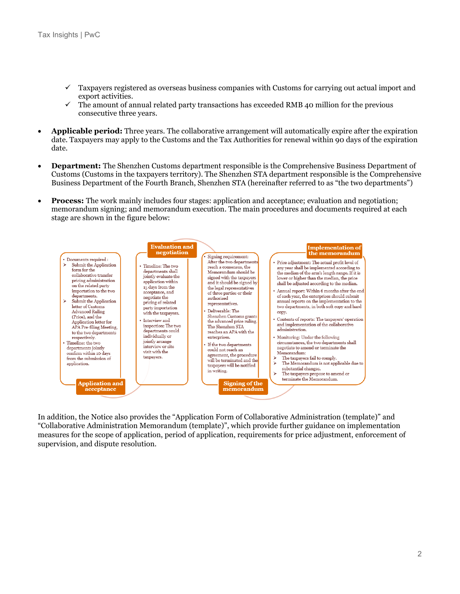- $\checkmark$  Taxpayers registered as overseas business companies with Customs for carrying out actual import and export activities.
- $\checkmark$  The amount of annual related party transactions has exceeded RMB 40 million for the previous consecutive three years.
- **Applicable period:** Three years. The collaborative arrangement will automatically expire after the expiration date. Taxpayers may apply to the Customs and the Tax Authorities for renewal within 90 days of the expiration date.
- **Department:** The Shenzhen Customs department responsible is the Comprehensive Business Department of Customs (Customs in the taxpayers territory). The Shenzhen STA department responsible is the Comprehensive Business Department of the Fourth Branch, Shenzhen STA (hereinafter referred to as "the two departments")
- **Process:** The work mainly includes four stages: application and acceptance; evaluation and negotiation; memorandum signing; and memorandum execution. The main procedures and documents required at each stage are shown in the figure below:



In addition, the Notice also provides the "Application Form of Collaborative Administration (template)" and "Collaborative Administration Memorandum (template)", which provide further guidance on implementation measures for the scope of application, period of application, requirements for price adjustment, enforcement of supervision, and dispute resolution.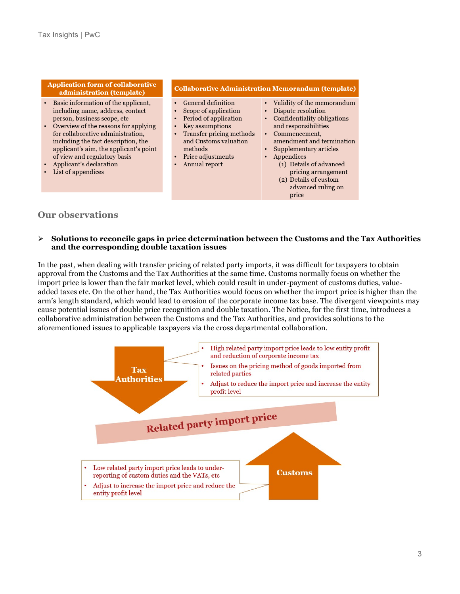**Application form of collaborative** administration (template)

- Basic information of the applicant, including name, address, contact person, business scope, etc
- Overview of the reasons for applying for collaborative administration, including the fact description, the applicant's aim, the applicant's point of view and regulatory basis
- Applicant's declaration
- List of appendices

**Collaborative Administration Memorandum (template)** 

- $\bullet$ **General definition**
- Scope of application
- Period of application
- Key assumptions
- Transfer pricing methods and Customs valuation methods
- Price adjustments
- Annual report
- Validity of the memorandum
	- Dispute resolution
	- $\bullet$ Confidentiality obligations
	- and responsibilities
	- Commencement, amendment and termination
	- Supplementary articles
	- Appendices
		- (1) Details of advanced pricing arrangement
		- (2) Details of custom advanced ruling on price

#### **Our observations**

#### $\blacktriangleright$ Solutions to reconcile gaps in price determination between the Customs and the Tax Authorities and the corresponding double taxation issues

In the past, when dealing with transfer pricing of related party imports, it was difficult for taxpayers to obtain approval from the Customs and the Tax Authorities at the same time. Customs normally focus on whether the import price is lower than the fair market level, which could result in under-payment of customs duties, valueadded taxes etc. On the other hand, the Tax Authorities would focus on whether the import price is higher than the arm's length standard, which would lead to erosion of the corporate income tax base. The divergent viewpoints may cause potential issues of double price recognition and double taxation. The Notice, for the first time, introduces a collaborative administration between the Customs and the Tax Authorities, and provides solutions to the aforementioned issues to applicable taxpayers via the cross departmental collaboration.

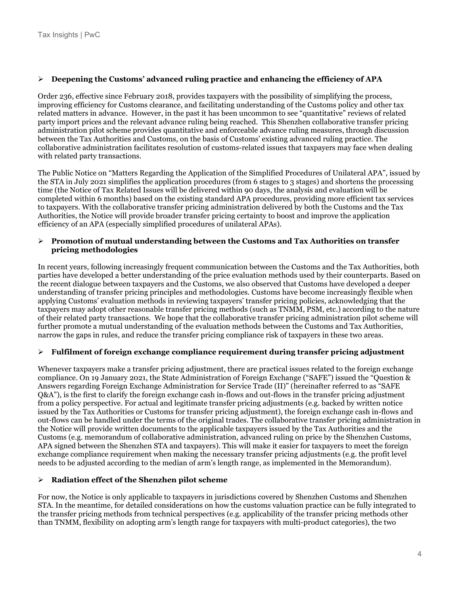#### **Deepening the Customs' advanced ruling practice and enhancing the efficiency of APA**

Order 236, effective since February 2018, provides taxpayers with the possibility of simplifying the process, improving efficiency for Customs clearance, and facilitating understanding of the Customs policy and other tax related matters in advance. However, in the past it has been uncommon to see "quantitative" reviews of related party import prices and the relevant advance ruling being reached. This Shenzhen collaborative transfer pricing administration pilot scheme provides quantitative and enforceable advance ruling measures, through discussion between the Tax Authorities and Customs, on the basis of Customs' existing advanced ruling practice. The collaborative administration facilitates resolution of customs-related issues that taxpayers may face when dealing with related party transactions.

The Public Notice on "Matters Regarding the Application of the Simplified Procedures of Unilateral APA", issued by the STA in July 2021 simplifies the application procedures (from 6 stages to 3 stages) and shortens the processing time (the Notice of Tax Related Issues will be delivered within 90 days, the analysis and evaluation will be completed within 6 months) based on the existing standard APA procedures, providing more efficient tax services to taxpayers. With the collaborative transfer pricing administration delivered by both the Customs and the Tax Authorities, the Notice will provide broader transfer pricing certainty to boost and improve the application efficiency of an APA (especially simplified procedures of unilateral APAs).

#### **Promotion of mutual understanding between the Customs and Tax Authorities on transfer pricing methodologies**

In recent years, following increasingly frequent communication between the Customs and the Tax Authorities, both parties have developed a better understanding of the price evaluation methods used by their counterparts. Based on the recent dialogue between taxpayers and the Customs, we also observed that Customs have developed a deeper understanding of transfer pricing principles and methodologies. Customs have become increasingly flexible when applying Customs' evaluation methods in reviewing taxpayers' transfer pricing policies, acknowledging that the taxpayers may adopt other reasonable transfer pricing methods (such as TNMM, PSM, etc.) according to the nature of their related party transactions. We hope that the collaborative transfer pricing administration pilot scheme will further promote a mutual understanding of the evaluation methods between the Customs and Tax Authorities, narrow the gaps in rules, and reduce the transfer pricing compliance risk of taxpayers in these two areas.

#### **Fulfilment of foreign exchange compliance requirement during transfer pricing adjustment**

Whenever taxpayers make a transfer pricing adjustment, there are practical issues related to the foreign exchange compliance. On 19 January 2021, the State Administration of Foreign Exchange ("SAFE") issued the "Question & Answers regarding Foreign Exchange Administration for Service Trade (II)" (hereinafter referred to as "SAFE Q&A"), is the first to clarify the foreign exchange cash in-flows and out-flows in the transfer pricing adjustment from a policy perspective. For actual and legitimate transfer pricing adjustments (e.g. backed by written notice issued by the Tax Authorities or Customs for transfer pricing adjustment), the foreign exchange cash in-flows and out-flows can be handled under the terms of the original trades. The collaborative transfer pricing administration in the Notice will provide written documents to the applicable taxpayers issued by the Tax Authorities and the Customs (e.g. memorandum of collaborative administration, advanced ruling on price by the Shenzhen Customs, APA signed between the Shenzhen STA and taxpayers). This will make it easier for taxpayers to meet the foreign exchange compliance requirement when making the necessary transfer pricing adjustments (e.g. the profit level needs to be adjusted according to the median of arm's length range, as implemented in the Memorandum).

#### **Radiation effect of the Shenzhen pilot scheme**

For now, the Notice is only applicable to taxpayers in jurisdictions covered by Shenzhen Customs and Shenzhen STA. In the meantime, for detailed considerations on how the customs valuation practice can be fully integrated to the transfer pricing methods from technical perspectives (e.g. applicability of the transfer pricing methods other than TNMM, flexibility on adopting arm's length range for taxpayers with multi-product categories), the two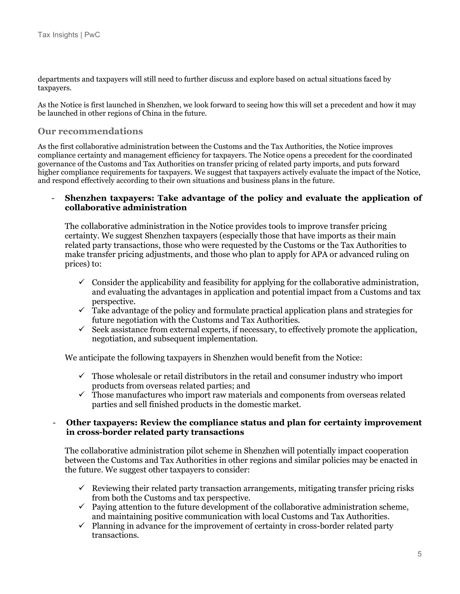departments and taxpayers will still need to further discuss and explore based on actual situations faced by taxpayers.

As the Notice is first launched in Shenzhen, we look forward to seeing how this will set a precedent and how it may be launched in other regions of China in the future.

### **Our recommendations**

As the first collaborative administration between the Customs and the Tax Authorities, the Notice improves compliance certainty and management efficiency for taxpayers. The Notice opens a precedent for the coordinated governance of the Customs and Tax Authorities on transfer pricing of related party imports, and puts forward higher compliance requirements for taxpayers. We suggest that taxpayers actively evaluate the impact of the Notice, and respond effectively according to their own situations and business plans in the future.

#### - **Shenzhen taxpayers: Take advantage of the policy and evaluate the application of collaborative administration**

The collaborative administration in the Notice provides tools to improve transfer pricing certainty. We suggest Shenzhen taxpayers (especially those that have imports as their main related party transactions, those who were requested by the Customs or the Tax Authorities to make transfer pricing adjustments, and those who plan to apply for APA or advanced ruling on prices) to:

- $\checkmark$  Consider the applicability and feasibility for applying for the collaborative administration, and evaluating the advantages in application and potential impact from a Customs and tax perspective.
- $\checkmark$  Take advantage of the policy and formulate practical application plans and strategies for future negotiation with the Customs and Tax Authorities.
- $\checkmark$  Seek assistance from external experts, if necessary, to effectively promote the application, negotiation, and subsequent implementation.

We anticipate the following taxpayers in Shenzhen would benefit from the Notice:

- $\checkmark$  Those wholesale or retail distributors in the retail and consumer industry who import products from overseas related parties; and
- $\checkmark$  Those manufactures who import raw materials and components from overseas related parties and sell finished products in the domestic market.

#### - **Other taxpayers: Review the compliance status and plan for certainty improvement in cross-border related party transactions**

The collaborative administration pilot scheme in Shenzhen will potentially impact cooperation between the Customs and Tax Authorities in other regions and similar policies may be enacted in the future. We suggest other taxpayers to consider:

- $\checkmark$  Reviewing their related party transaction arrangements, mitigating transfer pricing risks from both the Customs and tax perspective.
- $\checkmark$  Paying attention to the future development of the collaborative administration scheme, and maintaining positive communication with local Customs and Tax Authorities.
- $\checkmark$  Planning in advance for the improvement of certainty in cross-border related party transactions.